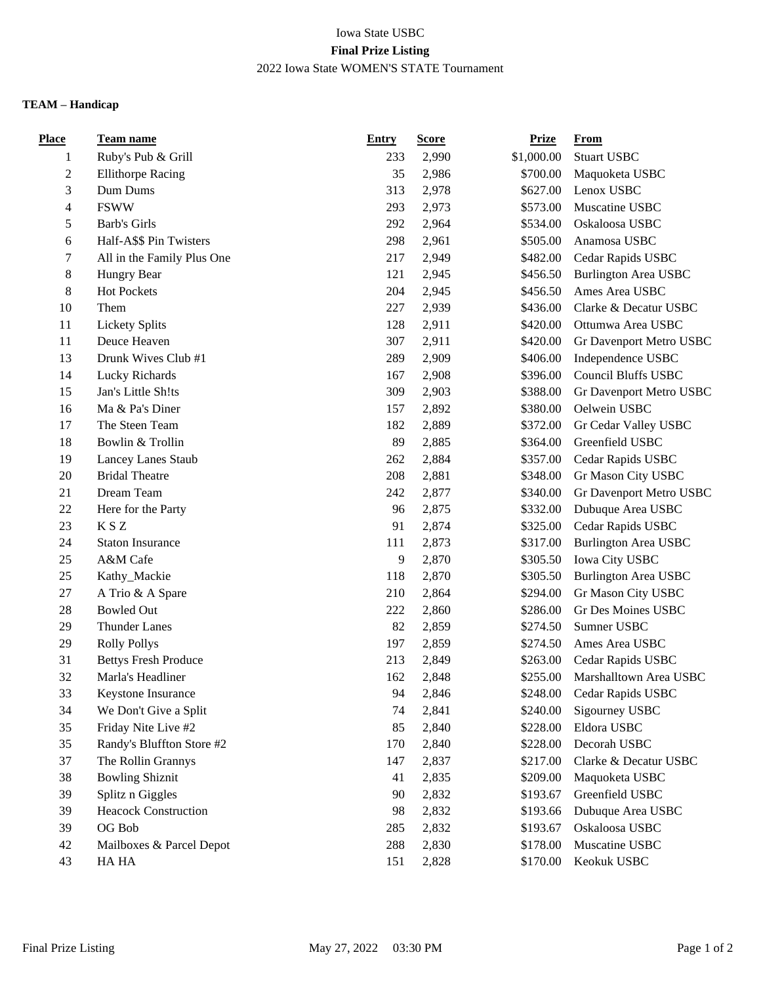## Iowa State USBC **Final Prize Listing** 2022 Iowa State WOMEN'S STATE Tournament

## **TEAM – Handicap**

| Place          | <u>Team name</u>            | <b>Entry</b> | <b>Score</b> | <b>Prize</b> | <b>From</b>                 |
|----------------|-----------------------------|--------------|--------------|--------------|-----------------------------|
| 1              | Ruby's Pub & Grill          | 233          | 2,990        | \$1,000.00   | <b>Stuart USBC</b>          |
| $\overline{c}$ | <b>Ellithorpe Racing</b>    | 35           | 2,986        | \$700.00     | Maquoketa USBC              |
| 3              | Dum Dums                    | 313          | 2,978        | \$627.00     | Lenox USBC                  |
| 4              | <b>FSWW</b>                 | 293          | 2,973        | \$573.00     | Muscatine USBC              |
| 5              | Barb's Girls                | 292          | 2,964        | \$534.00     | Oskaloosa USBC              |
| 6              | Half-A\$\$ Pin Twisters     | 298          | 2,961        | \$505.00     | Anamosa USBC                |
| 7              | All in the Family Plus One  | 217          | 2,949        | \$482.00     | Cedar Rapids USBC           |
| 8              | Hungry Bear                 | 121          | 2,945        | \$456.50     | <b>Burlington Area USBC</b> |
| 8              | <b>Hot Pockets</b>          | 204          | 2,945        | \$456.50     | Ames Area USBC              |
| 10             | Them                        | 227          | 2,939        | \$436.00     | Clarke & Decatur USBC       |
| 11             | <b>Lickety Splits</b>       | 128          | 2,911        | \$420.00     | Ottumwa Area USBC           |
| 11             | Deuce Heaven                | 307          | 2,911        | \$420.00     | Gr Davenport Metro USBC     |
| 13             | Drunk Wives Club #1         | 289          | 2,909        | \$406.00     | Independence USBC           |
| 14             | Lucky Richards              | 167          | 2,908        | \$396.00     | <b>Council Bluffs USBC</b>  |
| 15             | Jan's Little Sh!ts          | 309          | 2,903        | \$388.00     | Gr Davenport Metro USBC     |
| 16             | Ma & Pa's Diner             | 157          | 2,892        | \$380.00     | Oelwein USBC                |
| 17             | The Steen Team              | 182          | 2,889        | \$372.00     | Gr Cedar Valley USBC        |
| 18             | Bowlin & Trollin            | 89           | 2,885        | \$364.00     | Greenfield USBC             |
| 19             | Lancey Lanes Staub          | 262          | 2,884        | \$357.00     | Cedar Rapids USBC           |
| 20             | <b>Bridal Theatre</b>       | 208          | 2,881        | \$348.00     | Gr Mason City USBC          |
| 21             | Dream Team                  | 242          | 2,877        | \$340.00     | Gr Davenport Metro USBC     |
| 22             | Here for the Party          | 96           | 2,875        | \$332.00     | Dubuque Area USBC           |
| 23             | K S Z                       | 91           | 2,874        | \$325.00     | Cedar Rapids USBC           |
| 24             | <b>Staton Insurance</b>     | 111          | 2,873        | \$317.00     | <b>Burlington Area USBC</b> |
| 25             | A&M Cafe                    | 9            | 2,870        | \$305.50     | Iowa City USBC              |
| 25             | Kathy_Mackie                | 118          | 2,870        | \$305.50     | <b>Burlington Area USBC</b> |
| 27             | A Trio & A Spare            | 210          | 2,864        | \$294.00     | Gr Mason City USBC          |
| 28             | <b>Bowled Out</b>           | 222          | 2,860        | \$286.00     | Gr Des Moines USBC          |
| 29             | <b>Thunder Lanes</b>        | 82           | 2,859        | \$274.50     | Sumner USBC                 |
| 29             | <b>Rolly Pollys</b>         | 197          | 2,859        | \$274.50     | Ames Area USBC              |
| 31             | <b>Bettys Fresh Produce</b> | 213          | 2,849        | \$263.00     | Cedar Rapids USBC           |
| 32             | Marla's Headliner           | 162          | 2,848        | \$255.00     | Marshalltown Area USBC      |
| 33             | Keystone Insurance          | 94           | 2,846        | \$248.00     | Cedar Rapids USBC           |
| 34             | We Don't Give a Split       | 74           | 2,841        | \$240.00     | Sigourney USBC              |
| 35             | Friday Nite Live #2         | 85           | 2,840        | \$228.00     | Eldora USBC                 |
| 35             | Randy's Bluffton Store #2   | 170          | 2,840        | \$228.00     | Decorah USBC                |
| 37             | The Rollin Grannys          | 147          | 2,837        | \$217.00     | Clarke & Decatur USBC       |
| 38             | <b>Bowling Shiznit</b>      | 41           | 2,835        | \$209.00     | Maquoketa USBC              |
| 39             | Splitz n Giggles            | 90           | 2,832        | \$193.67     | Greenfield USBC             |
| 39             | <b>Heacock Construction</b> | 98           | 2,832        | \$193.66     | Dubuque Area USBC           |
| 39             | OG Bob                      | 285          | 2,832        | \$193.67     | Oskaloosa USBC              |
| 42             | Mailboxes & Parcel Depot    | 288          | 2,830        | \$178.00     | Muscatine USBC              |
| 43             | HA HA                       | 151          | 2,828        | \$170.00     | Keokuk USBC                 |